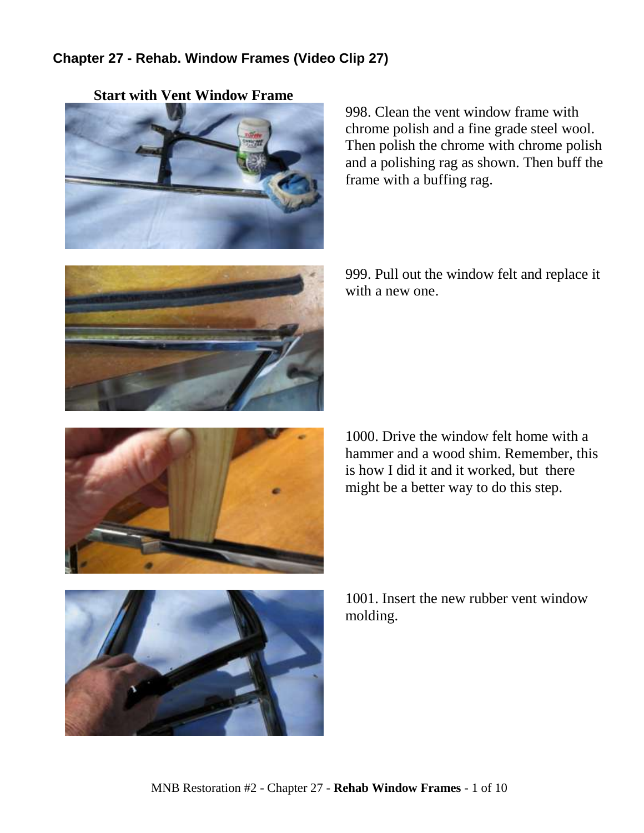## **Chapter 27 - Rehab. Window Frames (Video Clip 27)**



998. Clean the vent window frame with chrome polish and a fine grade steel wool. Then polish the chrome with chrome polish and a polishing rag as shown. Then buff the frame with a buffing rag.



999. Pull out the window felt and replace it with a new one.



1000. Drive the window felt home with a hammer and a wood shim. Remember, this is how I did it and it worked, but there might be a better way to do this step.



1001. Insert the new rubber vent window molding.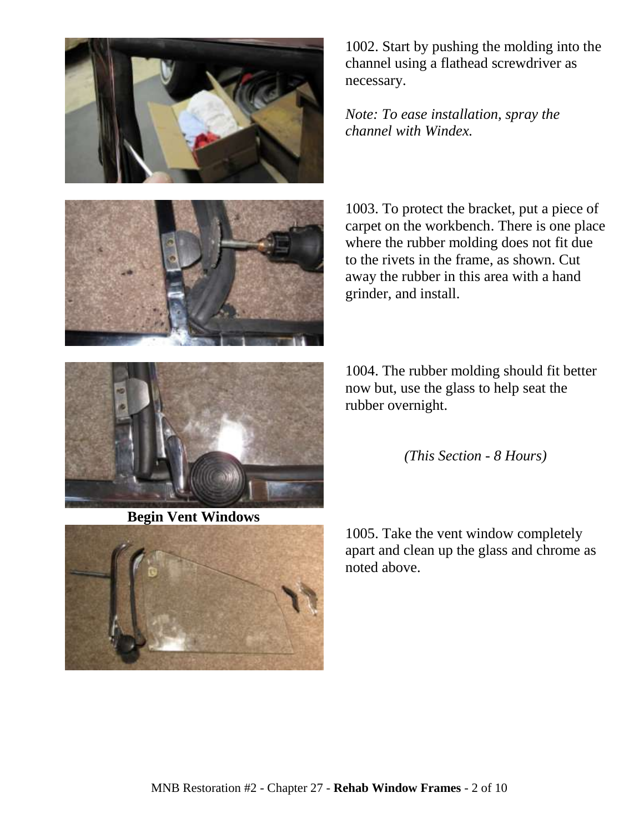

1002. Start by pushing the molding into the channel using a flathead screwdriver as necessary.

*Note: To ease installation, spray the channel with Windex.* 



1003. To protect the bracket, put a piece of carpet on the workbench. There is one place where the rubber molding does not fit due to the rivets in the frame, as shown. Cut away the rubber in this area with a hand grinder, and install.

1004. The rubber molding should fit better now but, use the glass to help seat the rubber overnight.



1005. Take the vent window completely apart and clean up the glass and chrome as noted above.



**Begin Vent Windows**

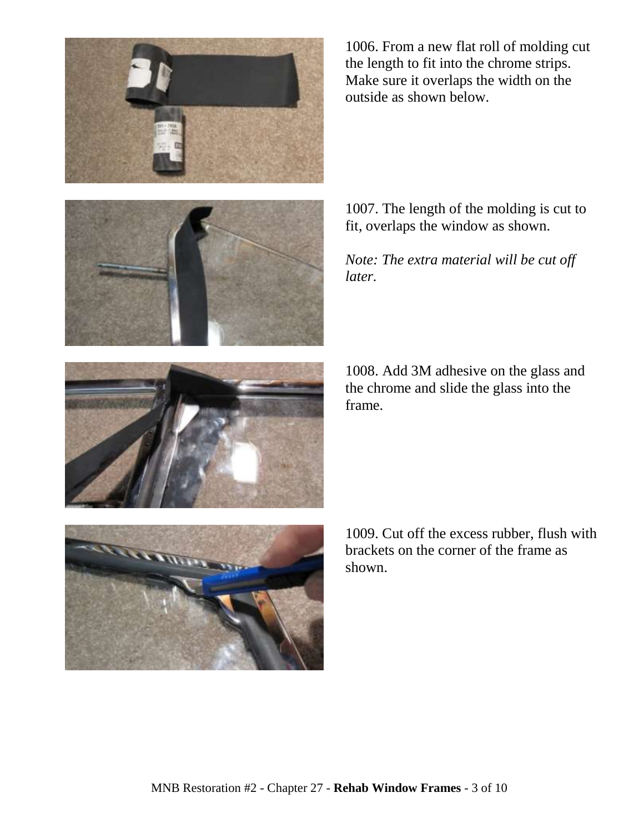



1006. From a new flat roll of molding cut the length to fit into the chrome strips. Make sure it overlaps the width on the outside as shown below.

1007. The length of the molding is cut to fit, overlaps the window as shown.

*Note: The extra material will be cut off later.*

1008. Add 3M adhesive on the glass and the chrome and slide the glass into the frame.



1009. Cut off the excess rubber, flush with brackets on the corner of the frame as shown.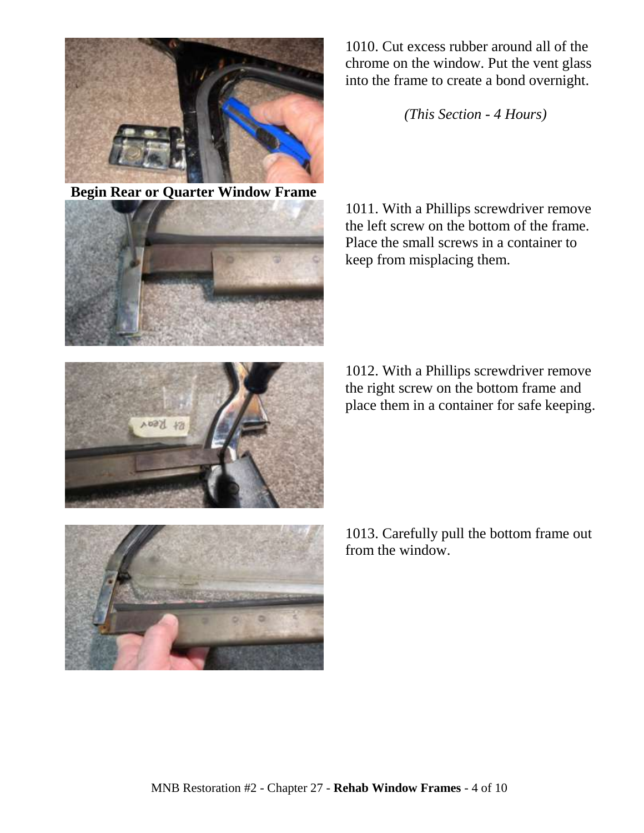

**Begin Rear or Quarter Window Frame**



Kt Keon

1010. Cut excess rubber around all of the chrome on the window. Put the vent glass into the frame to create a bond overnight.

*(This Section - 4 Hours)*

1011. With a Phillips screwdriver remove the left screw on the bottom of the frame. Place the small screws in a container to keep from misplacing them.

1012. With a Phillips screwdriver remove the right screw on the bottom frame and place them in a container for safe keeping.



1013. Carefully pull the bottom frame out from the window.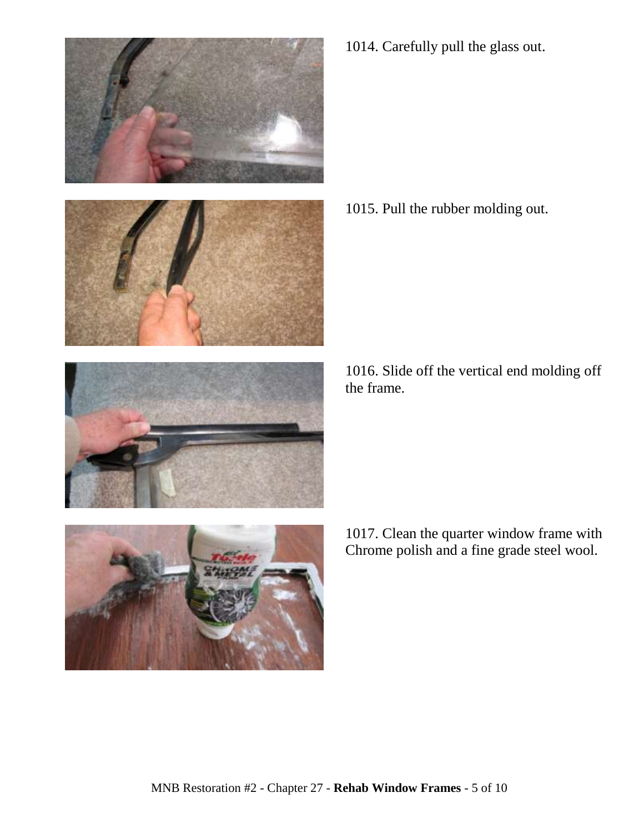

1014. Carefully pull the glass out.

1015. Pull the rubber molding out.

1016. Slide off the vertical end molding off the frame.

1017. Clean the quarter window frame with Chrome polish and a fine grade steel wool.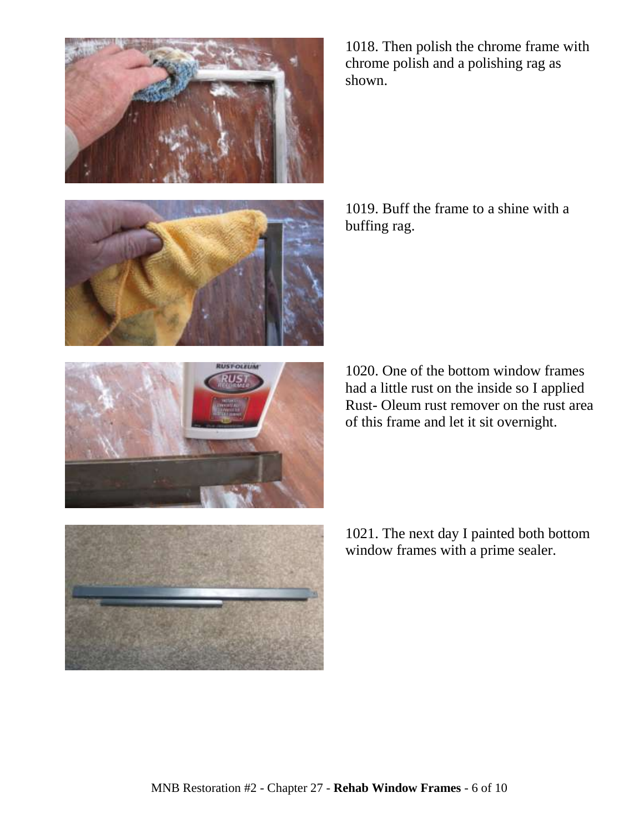







1018. Then polish the chrome frame with chrome polish and a polishing rag as shown.

1019. Buff the frame to a shine with a buffing rag.

1020. One of the bottom window frames had a little rust on the inside so I applied Rust- Oleum rust remover on the rust area of this frame and let it sit overnight.

1021. The next day I painted both bottom window frames with a prime sealer.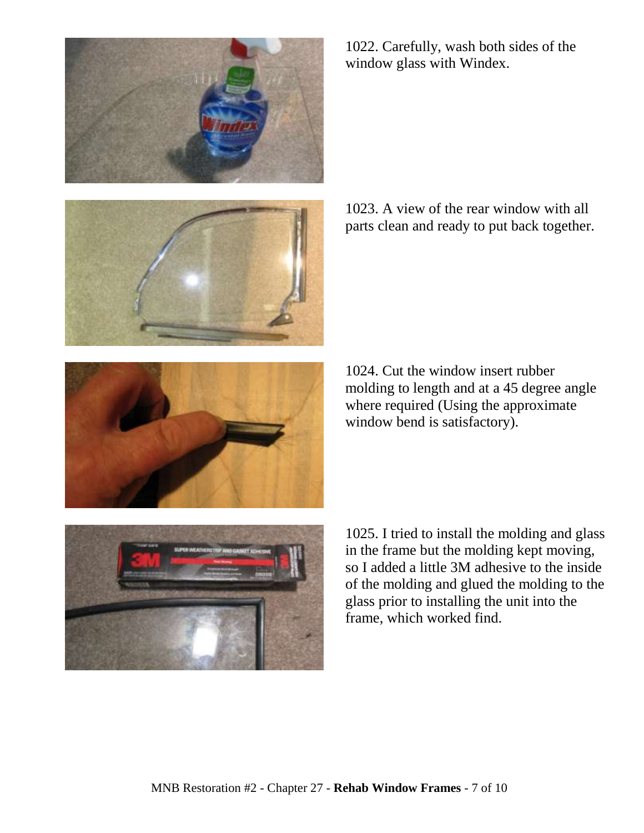

1022. Carefully, wash both sides of the window glass with Windex.

1023. A view of the rear window with all parts clean and ready to put back together.

1024. Cut the window insert rubber molding to length and at a 45 degree angle where required (Using the approximate window bend is satisfactory).

1025. I tried to install the molding and glass in the frame but the molding kept moving, so I added a little 3M adhesive to the inside of the molding and glued the molding to the glass prior to installing the unit into the frame, which worked find.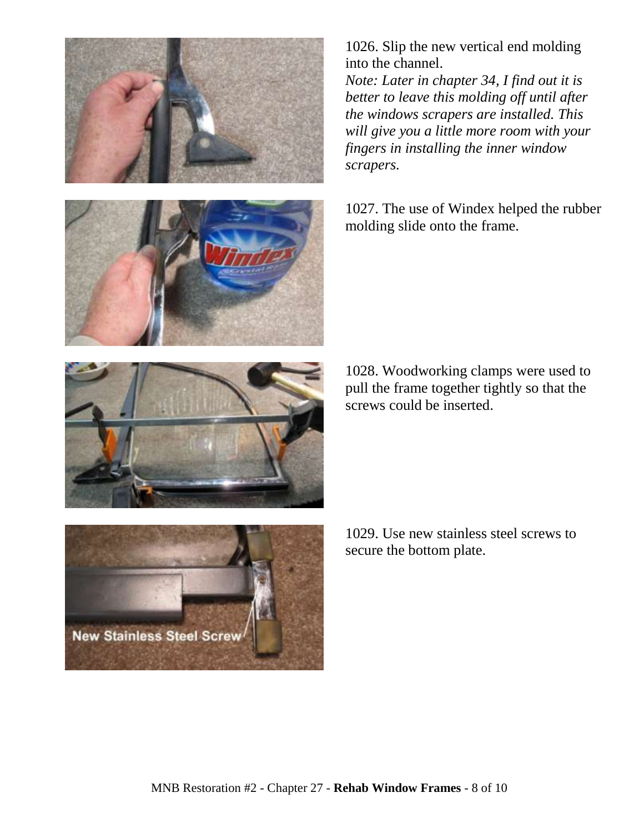

1026. Slip the new vertical end molding into the channel.

*Note: Later in chapter 34, I find out it is better to leave this molding off until after the windows scrapers are installed. This will give you a little more room with your fingers in installing the inner window scrapers.*

1027. The use of Windex helped the rubber molding slide onto the frame.

1028. Woodworking clamps were used to pull the frame together tightly so that the screws could be inserted.

1029. Use new stainless steel screws to secure the bottom plate.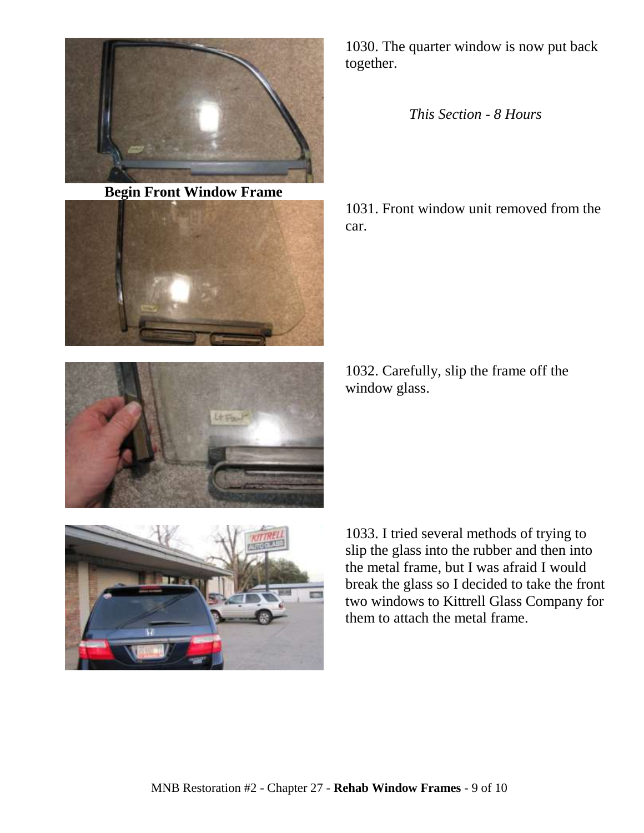

**Begin Front Window Frame**



1030. The quarter window is now put back together.

*This Section - 8 Hours*

1031. Front window unit removed from the car.

1032. Carefully, slip the frame off the window glass.



1033. I tried several methods of trying to slip the glass into the rubber and then into the metal frame, but I was afraid I would break the glass so I decided to take the front two windows to Kittrell Glass Company for them to attach the metal frame.